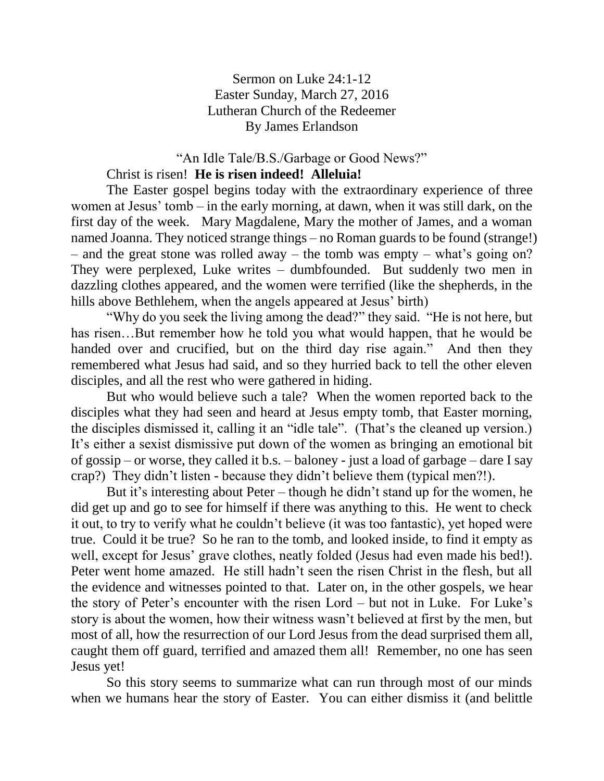## Sermon on Luke 24:1-12 Easter Sunday, March 27, 2016 Lutheran Church of the Redeemer By James Erlandson

## "An Idle Tale/B.S./Garbage or Good News?"

## Christ is risen! **He is risen indeed! Alleluia!**

The Easter gospel begins today with the extraordinary experience of three women at Jesus' tomb – in the early morning, at dawn, when it was still dark, on the first day of the week. Mary Magdalene, Mary the mother of James, and a woman named Joanna. They noticed strange things – no Roman guards to be found (strange!) – and the great stone was rolled away – the tomb was empty – what's going on? They were perplexed, Luke writes – dumbfounded. But suddenly two men in dazzling clothes appeared, and the women were terrified (like the shepherds, in the hills above Bethlehem, when the angels appeared at Jesus' birth)

"Why do you seek the living among the dead?" they said. "He is not here, but has risen...But remember how he told you what would happen, that he would be handed over and crucified, but on the third day rise again." And then they remembered what Jesus had said, and so they hurried back to tell the other eleven disciples, and all the rest who were gathered in hiding.

But who would believe such a tale? When the women reported back to the disciples what they had seen and heard at Jesus empty tomb, that Easter morning, the disciples dismissed it, calling it an "idle tale". (That's the cleaned up version.) It's either a sexist dismissive put down of the women as bringing an emotional bit of gossip – or worse, they called it b.s. – baloney - just a load of garbage – dare I say crap?) They didn't listen - because they didn't believe them (typical men?!).

But it's interesting about Peter – though he didn't stand up for the women, he did get up and go to see for himself if there was anything to this. He went to check it out, to try to verify what he couldn't believe (it was too fantastic), yet hoped were true. Could it be true? So he ran to the tomb, and looked inside, to find it empty as well, except for Jesus' grave clothes, neatly folded (Jesus had even made his bed!). Peter went home amazed. He still hadn't seen the risen Christ in the flesh, but all the evidence and witnesses pointed to that. Later on, in the other gospels, we hear the story of Peter's encounter with the risen Lord – but not in Luke. For Luke's story is about the women, how their witness wasn't believed at first by the men, but most of all, how the resurrection of our Lord Jesus from the dead surprised them all, caught them off guard, terrified and amazed them all! Remember, no one has seen Jesus yet!

So this story seems to summarize what can run through most of our minds when we humans hear the story of Easter. You can either dismiss it (and belittle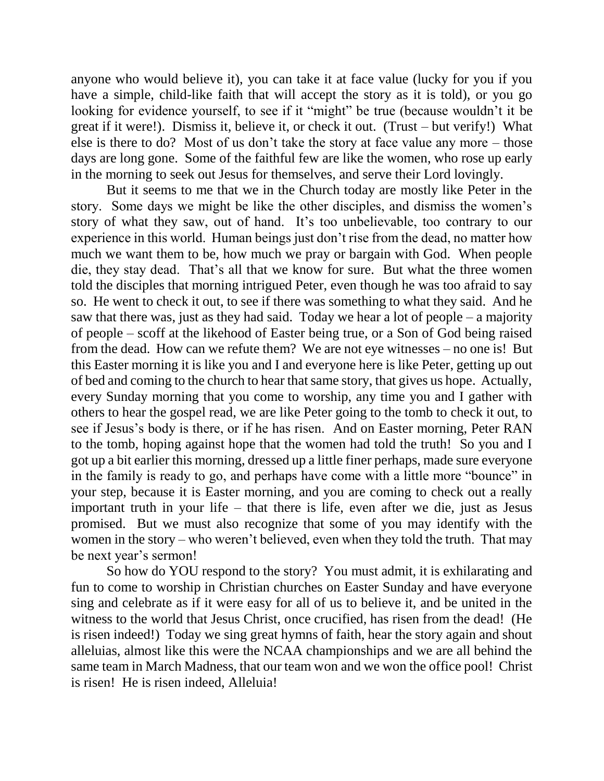anyone who would believe it), you can take it at face value (lucky for you if you have a simple, child-like faith that will accept the story as it is told), or you go looking for evidence yourself, to see if it "might" be true (because wouldn't it be great if it were!). Dismiss it, believe it, or check it out. (Trust – but verify!) What else is there to do? Most of us don't take the story at face value any more – those days are long gone. Some of the faithful few are like the women, who rose up early in the morning to seek out Jesus for themselves, and serve their Lord lovingly.

But it seems to me that we in the Church today are mostly like Peter in the story. Some days we might be like the other disciples, and dismiss the women's story of what they saw, out of hand. It's too unbelievable, too contrary to our experience in this world. Human beings just don't rise from the dead, no matter how much we want them to be, how much we pray or bargain with God. When people die, they stay dead. That's all that we know for sure. But what the three women told the disciples that morning intrigued Peter, even though he was too afraid to say so. He went to check it out, to see if there was something to what they said. And he saw that there was, just as they had said. Today we hear a lot of people – a majority of people – scoff at the likehood of Easter being true, or a Son of God being raised from the dead. How can we refute them? We are not eye witnesses – no one is! But this Easter morning it is like you and I and everyone here is like Peter, getting up out of bed and coming to the church to hear that same story, that gives us hope. Actually, every Sunday morning that you come to worship, any time you and I gather with others to hear the gospel read, we are like Peter going to the tomb to check it out, to see if Jesus's body is there, or if he has risen. And on Easter morning, Peter RAN to the tomb, hoping against hope that the women had told the truth! So you and I got up a bit earlier this morning, dressed up a little finer perhaps, made sure everyone in the family is ready to go, and perhaps have come with a little more "bounce" in your step, because it is Easter morning, and you are coming to check out a really important truth in your life – that there is life, even after we die, just as Jesus promised. But we must also recognize that some of you may identify with the women in the story – who weren't believed, even when they told the truth. That may be next year's sermon!

So how do YOU respond to the story? You must admit, it is exhilarating and fun to come to worship in Christian churches on Easter Sunday and have everyone sing and celebrate as if it were easy for all of us to believe it, and be united in the witness to the world that Jesus Christ, once crucified, has risen from the dead! (He is risen indeed!) Today we sing great hymns of faith, hear the story again and shout alleluias, almost like this were the NCAA championships and we are all behind the same team in March Madness, that our team won and we won the office pool! Christ is risen! He is risen indeed, Alleluia!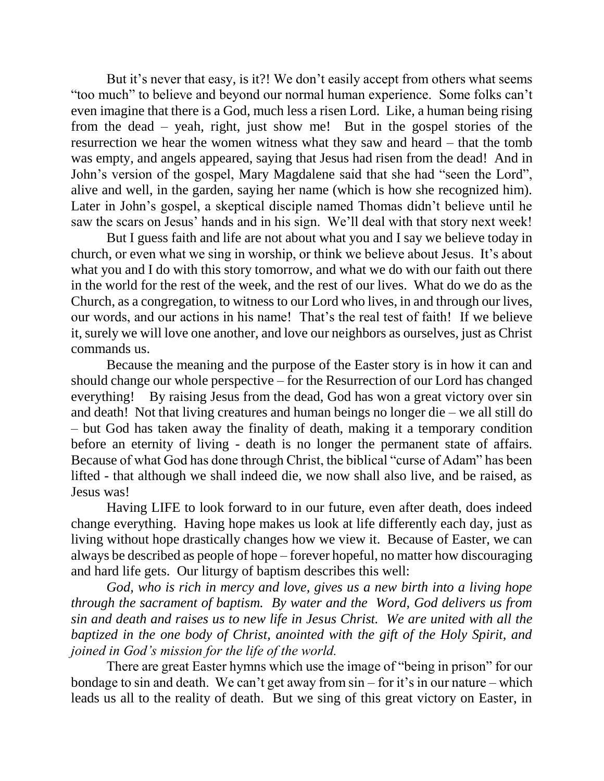But it's never that easy, is it?! We don't easily accept from others what seems "too much" to believe and beyond our normal human experience. Some folks can't even imagine that there is a God, much less a risen Lord. Like, a human being rising from the dead – yeah, right, just show me! But in the gospel stories of the resurrection we hear the women witness what they saw and heard – that the tomb was empty, and angels appeared, saying that Jesus had risen from the dead! And in John's version of the gospel, Mary Magdalene said that she had "seen the Lord", alive and well, in the garden, saying her name (which is how she recognized him). Later in John's gospel, a skeptical disciple named Thomas didn't believe until he saw the scars on Jesus' hands and in his sign. We'll deal with that story next week!

But I guess faith and life are not about what you and I say we believe today in church, or even what we sing in worship, or think we believe about Jesus. It's about what you and I do with this story tomorrow, and what we do with our faith out there in the world for the rest of the week, and the rest of our lives. What do we do as the Church, as a congregation, to witness to our Lord who lives, in and through our lives, our words, and our actions in his name! That's the real test of faith! If we believe it, surely we will love one another, and love our neighbors as ourselves, just as Christ commands us.

Because the meaning and the purpose of the Easter story is in how it can and should change our whole perspective – for the Resurrection of our Lord has changed everything! By raising Jesus from the dead, God has won a great victory over sin and death! Not that living creatures and human beings no longer die – we all still do – but God has taken away the finality of death, making it a temporary condition before an eternity of living - death is no longer the permanent state of affairs. Because of what God has done through Christ, the biblical "curse of Adam" has been lifted - that although we shall indeed die, we now shall also live, and be raised, as Jesus was!

Having LIFE to look forward to in our future, even after death, does indeed change everything. Having hope makes us look at life differently each day, just as living without hope drastically changes how we view it. Because of Easter, we can always be described as people of hope – forever hopeful, no matter how discouraging and hard life gets. Our liturgy of baptism describes this well:

*God, who is rich in mercy and love, gives us a new birth into a living hope through the sacrament of baptism. By water and the Word, God delivers us from sin and death and raises us to new life in Jesus Christ. We are united with all the baptized in the one body of Christ, anointed with the gift of the Holy Spirit, and joined in God's mission for the life of the world.*

There are great Easter hymns which use the image of "being in prison" for our bondage to sin and death. We can't get away from sin – for it's in our nature – which leads us all to the reality of death. But we sing of this great victory on Easter, in